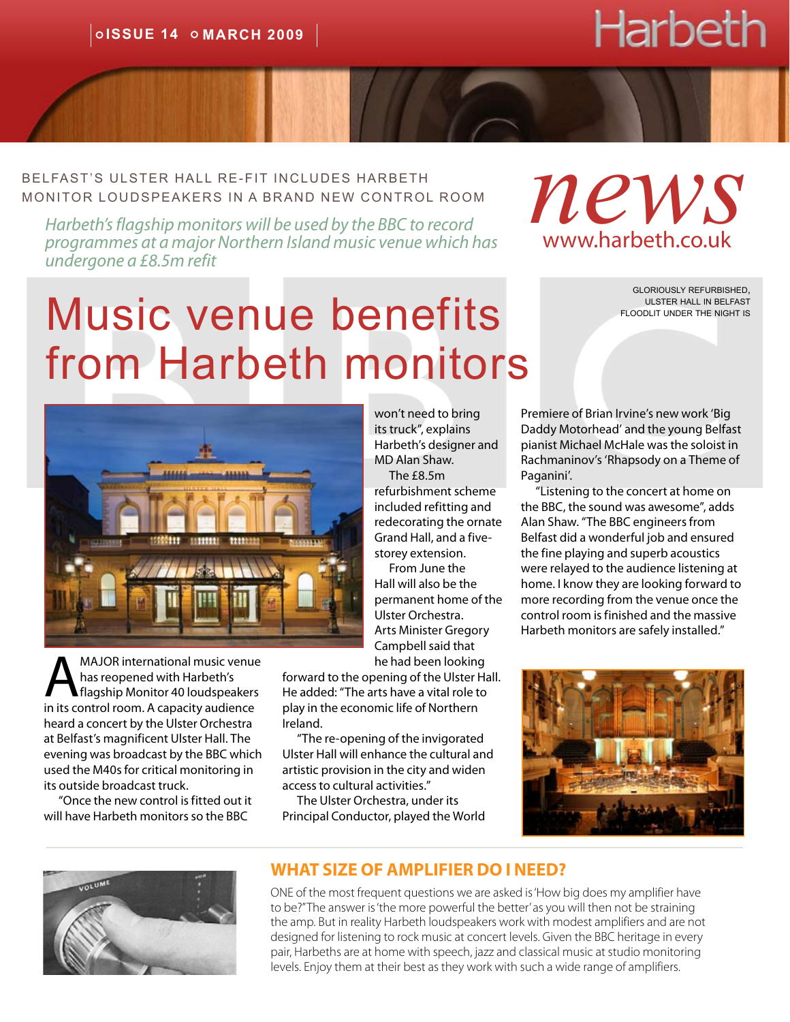# Harbeth

<span id="page-0-0"></span>Belfast's ulster hall re-fit includes harbeth monitor loudspeakers in A BRAND new control room LEAST'S ULSTER HALL RE-FIT INCLUDES HARBETH<br>
MITOR LOUDSPEAKERS IN A BRAND NEW CONTROL ROOM<br> *Harbeth's flagship monitors will be used by the BBC to record* 

*programmes at a major Northern Island music venue which has undergone a £8.5m refit*

# Music venue benefits from Harbeth monitors

gloriously refurbished, ulster hall in belfast floodlit under the night is



MAJOR international music venue<br>has reopened with Harbeth's<br>in its control room. A capacity audience has reopened with Harbeth's in its control room. A capacity audience heard a concert by the Ulster Orchestra at Belfast's magnificent Ulster Hall. The evening was broadcast by the BBC which used the M40s for critical monitoring in its outside broadcast truck.

"Once the new control is fitted out it will have Harbeth monitors so the BBC

won't need to bring its truck", explains Harbeth's designer and MD Alan Shaw.

The  $f8.5m$ refurbishment scheme included refitting and redecorating the ornate Grand Hall, and a fivestorey extension.

From June the Hall will also be the permanent home of the Ulster Orchestra. Arts Minister Gregory Campbell said that he had been looking

forward to the opening of the Ulster Hall. He added: "The arts have a vital role to play in the economic life of Northern Ireland.

"The re-opening of the invigorated Ulster Hall will enhance the cultural and artistic provision in the city and widen access to cultural activities."

The Ulster Orchestra, under its Principal Conductor, played the World Premiere of Brian Irvine's new work 'Big Daddy Motorhead' and the young Belfast pianist Michael McHale was the soloist in Rachmaninov's 'Rhapsody on a Theme of Paganini'.

www.harbeth.co.uk

"Listening to the concert at home on the BBC, the sound was awesome", adds Alan Shaw. "The BBC engineers from Belfast did a wonderful job and ensured the fine playing and superb acoustics were relayed to the audience listening at home. I know they are looking forward to more recording from the venue once the control room is finished and the massive Harbeth monitors are safely installed."





#### **WHAT SIZE OF AMPLIFIER DO I NEED?**

ONE of the most frequent questions we are asked is 'How big does my amplifier have to be?" The answer is 'the more powerful the better' as you will then not be straining the amp. But in reality Harbeth loudspeakers work with modest amplifiers and are not designed for listening to rock music at concert levels. Given the BBC heritage in every pair, Harbeths are at home with speech, jazz and classical music at studio monitoring levels. Enjoy them at their best as they work with such a wide range of amplifiers.